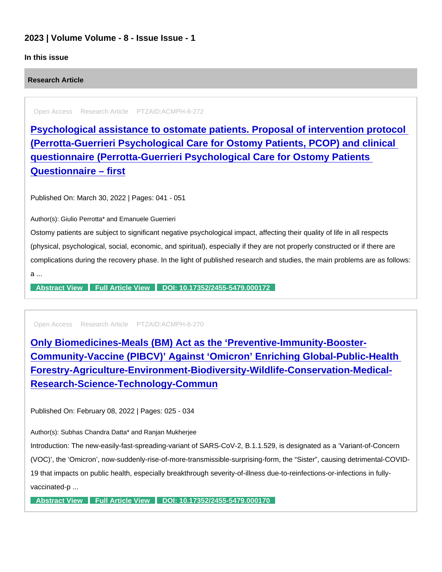## 2023 | Volume Volume - 8 - Issue Issue - 1

## In this issue

Research Article

Open Access Research Article PTZAID:ACMPH-8-272

[Psychological assistance to ostomate patients. Proposal of intervention protocol](https://www.peertechzpublications.com/articles/psychological-assistance-to-ostomate-patients-proposal-of-intervention-protocol-perrotta-guerrieri-psychological-care-for-ostomy-patients-pcop-and-clinical-questionnaire-perrotta-guerrieri-psychological-care-for-ostomy-patients-questionnaire-first)  (Perrotta-Guerrieri Psychological Care for Ostomy Patients, PCOP) and clinical questionnaire (Perrotta-Guerrieri Psychological Care for Ostomy Patients Questionnaire – first

Published On: March 30, 2022 | Pages: 041 - 051

Author(s): Giulio Perrotta\* and Emanuele Guerrieri

Ostomy patients are subject to significant negative psychological impact, affecting their quality of life in all respects (physical, psychological, social, economic, and spiritual), especially if they are not properly constructed or if there are complications during the recovery phase. In the light of published research and studies, the main problems are as follows: a ...

[Abstract View](https://www.peertechzpublications.com/abstracts/psychological-assistance-to-ostomate-patients-proposal-of-intervention-protocol-perrotta-guerrieri-psychological-care-for-ostomy-patients-pcop-and-clinical-questionnaire-perrotta-guerrieri-psychological-care-for-ostomy-patients-questionnaire-first) [Full Article View](https://www.peertechzpublications.com/articles/psychological-assistance-to-ostomate-patients-proposal-of-intervention-protocol-perrotta-guerrieri-psychological-care-for-ostomy-patients-pcop-and-clinical-questionnaire-perrotta-guerrieri-psychological-care-for-ostomy-patients-questionnaire-first) [DOI: 10.17352/2455-5479.000172](http://dx.doi.org/10.17352/2455-5479.000172)

Open Access Research Article PTZAID:ACMPH-8-270

Only Biomedicines-Meals (BM) Act as the 'Preventive-Immunity-Booster-[Community-Vaccine \(PIBCV\)' Against 'Omicron' Enriching Global-Public-Health](https://www.peertechzpublications.com/articles/only-biomedicines-meals-bm-act-as-the-preventive-immunity-booster-community-vaccine-pibcv-against-omicron-enriching-global-public-health-forestry-agriculture-environment-biodiversity-wildlife-conservation-medical-research-science-technology-commun)  Forestry-Agriculture-Environment-Biodiversity-Wildlife-Conservation-Medical-Research-Science-Technology-Commun

Published On: February 08, 2022 | Pages: 025 - 034

Author(s): Subhas Chandra Datta\* and Ranjan Mukherjee

Introduction: The new-easily-fast-spreading-variant of SARS-CoV-2, B.1.1.529, is designated as a 'Variant-of-Concern (VOC)', the 'Omicron', now-suddenly-rise-of-more-transmissible-surprising-form, the "Sister", causing detrimental-COVID-19 that impacts on public health, especially breakthrough severity-of-illness due-to-reinfections-or-infections in fullyvaccinated-p ...

[Abstract View](https://www.peertechzpublications.com/abstracts/only-biomedicines-meals-bm-act-as-the-preventive-immunity-booster-community-vaccine-pibcv-against-omicron-enriching-global-public-health-forestry-agriculture-environment-biodiversity-wildlife-conservation-medical-research-science-technology-commun) [Full Article View](https://www.peertechzpublications.com/articles/only-biomedicines-meals-bm-act-as-the-preventive-immunity-booster-community-vaccine-pibcv-against-omicron-enriching-global-public-health-forestry-agriculture-environment-biodiversity-wildlife-conservation-medical-research-science-technology-commun) [DOI: 10.17352/2455-5479.000170](http://dx.doi.org/10.17352/2455-5479.000170)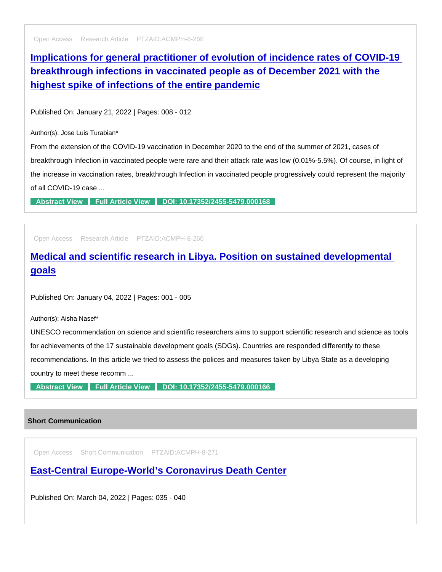Open Access Research Article PTZAID:ACMPH-8-268

[Implications for general practitioner of evolution of incidence rates of COVID-19](https://www.peertechzpublications.com/articles/implications-for-general-practitioner-of-evolution-of-incidence-rates-of-covid-19-breakthrough-infections-in-vaccinated-people-as-of-december-2021-with-the-highest-spike-of-infections-of-the-entire-pandemic)  breakthrough infections in vaccinated people as of December 2021 with the highest spike of infections of the entire pandemic

Published On: January 21, 2022 | Pages: 008 - 012

Author(s): Jose Luis Turabian\*

From the extension of the COVID-19 vaccination in December 2020 to the end of the summer of 2021, cases of breakthrough Infection in vaccinated people were rare and their attack rate was low (0.01%-5.5%). Of course, in light of the increase in vaccination rates, breakthrough Infection in vaccinated people progressively could represent the majority of all COVID-19 case ...

[Abstract View](https://www.peertechzpublications.com/abstracts/implications-for-general-practitioner-of-evolution-of-incidence-rates-of-covid-19-breakthrough-infections-in-vaccinated-people-as-of-december-2021-with-the-highest-spike-of-infections-of-the-entire-pandemic) [Full Article View](https://www.peertechzpublications.com/articles/implications-for-general-practitioner-of-evolution-of-incidence-rates-of-covid-19-breakthrough-infections-in-vaccinated-people-as-of-december-2021-with-the-highest-spike-of-infections-of-the-entire-pandemic) [DOI: 10.17352/2455-5479.000168](http://dx.doi.org/10.17352/2455-5479.000168)

Open Access Research Article PTZAID:ACMPH-8-266

[Medical and scientific research in Libya. Position on sustained developmental](https://www.peertechzpublications.com/articles/medical-and-scientific-research-in-libya-position-on-sustained-developmental-goals)  goals

Published On: January 04, 2022 | Pages: 001 - 005

Author(s): Aisha Nasef\*

UNESCO recommendation on science and scientific researchers aims to support scientific research and science as tools for achievements of the 17 sustainable development goals (SDGs). Countries are responded differently to these recommendations. In this article we tried to assess the polices and measures taken by Libya State as a developing country to meet these recomm ...

[Abstract View](https://www.peertechzpublications.com/abstracts/medical-and-scientific-research-in-libya-position-on-sustained-developmental-goals) [Full Article View](https://www.peertechzpublications.com/articles/medical-and-scientific-research-in-libya-position-on-sustained-developmental-goals) [DOI: 10.17352/2455-5479.000166](http://dx.doi.org/10.17352/2455-5479.000166)

## Short Communication

Open Access Short Communication PTZAID:ACMPH-8-271

[East-Central Europe-World's Coronavirus Death Center](https://www.peertechzpublications.com/articles/east-central-europe-world-s-coronavirus-death-center)

Published On: March 04, 2022 | Pages: 035 - 040